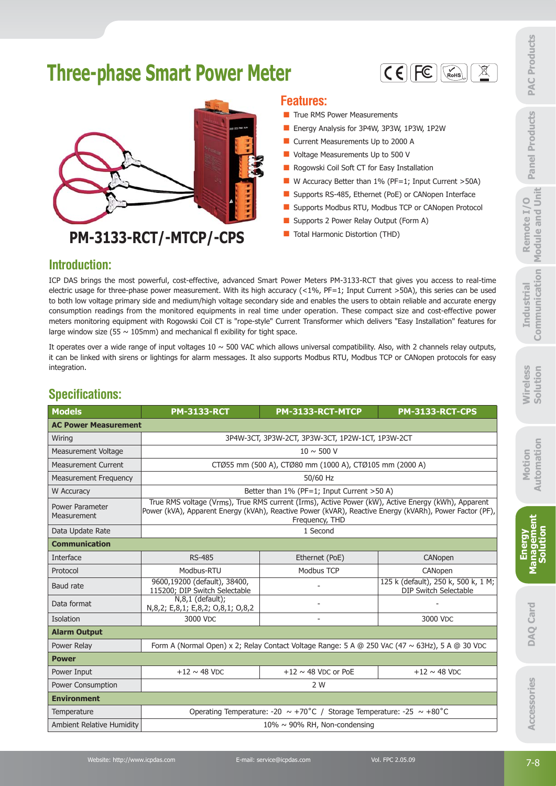# **Three-phase Smart Power Meter**





# **PM-3133-RCT/-MTCP/-CPS**

#### **Features:**

- $\blacksquare$  True RMS Power Measurements
- Energy Analysis for 3P4W, 3P3W, 1P3W, 1P2W
- **Current Measurements Up to 2000 A**
- **U** Voltage Measurements Up to 500 V
- Rogowski Coil Soft CT for Easy Installation
- $\blacksquare$  W Accuracy Better than 1% (PF=1; Input Current >50A)
- Supports RS-485, Ethernet (PoE) or CANopen Interface
- Supports Modbus RTU, Modbus TCP or CANopen Protocol
- Supports 2 Power Relay Output (Form A)
- **Total Harmonic Distortion (THD)**

#### **Introduction:**

#### **Specifications:**

|                                                                              | <b>Three-phase Smart Power Meter</b>                                             | <b>Features:</b>                                                                                                                                    | $\mathbb{X}$<br>$C \in \left[ \left  \right. \right]$ FC<br>$\mathcal{R}_{\mathsf{R}}$                                                                                                                                                                                                                                                                                                                                                                                                                                                                                                                                                                                                | <b>PAC Products</b>                              |
|------------------------------------------------------------------------------|----------------------------------------------------------------------------------|-----------------------------------------------------------------------------------------------------------------------------------------------------|---------------------------------------------------------------------------------------------------------------------------------------------------------------------------------------------------------------------------------------------------------------------------------------------------------------------------------------------------------------------------------------------------------------------------------------------------------------------------------------------------------------------------------------------------------------------------------------------------------------------------------------------------------------------------------------|--------------------------------------------------|
|                                                                              |                                                                                  | True RMS Power Measurements<br>Current Measurements Up to 2000 A<br>Voltage Measurements Up to 500 V<br>Rogowski Coil Soft CT for Easy Installation | Energy Analysis for 3P4W, 3P3W, 1P3W, 1P2W<br>W Accuracy Better than 1% (PF=1; Input Current >50A)                                                                                                                                                                                                                                                                                                                                                                                                                                                                                                                                                                                    | <b>Panel Products</b>                            |
| <b>Introduction:</b>                                                         | PM-3133-RCT/-MTCP/-CPS                                                           | Supports 2 Power Relay Output (Form A)<br>Total Harmonic Distortion (THD)                                                                           | Supports RS-485, Ethernet (PoE) or CANopen Interface<br>Supports Modbus RTU, Modbus TCP or CANopen Protocol                                                                                                                                                                                                                                                                                                                                                                                                                                                                                                                                                                           | Module and Unit<br>$\circ$<br>H<br><b>Remote</b> |
|                                                                              | large window size (55 $\sim$ 105mm) and mechanical fl exibility for tight space. |                                                                                                                                                     | ICP DAS brings the most powerful, cost-effective, advanced Smart Power Meters PM-3133-RCT that gives you access to real-time<br>electric usage for three-phase power measurement. With its high accuracy (<1%, $PF=1$ ; Input Current >50A), this series can be used<br>to both low voltage primary side and medium/high voltage secondary side and enables the users to obtain reliable and accurate energy<br>consumption readings from the monitored equipments in real time under operation. These compact size and cost-effective power<br>meters monitoring equipment with Rogowski Coil CT is "rope-style" Current Transformer which delivers "Easy Installation" features for | Communication<br><b>Industrial</b>               |
| integration.<br><b>Specifications:</b>                                       |                                                                                  |                                                                                                                                                     | It operates over a wide range of input voltages $10 \sim 500$ VAC which allows universal compatibility. Also, with 2 channels relay outputs,<br>it can be linked with sirens or lightings for alarm messages. It also supports Modbus RTU, Modbus TCP or CANopen protocols for easy                                                                                                                                                                                                                                                                                                                                                                                                   | <b>Nireless</b><br>Solution                      |
| <b>Models</b>                                                                | <b>PM-3133-RCT</b>                                                               | PM-3133-RCT-MTCP                                                                                                                                    | <b>PM-3133-RCT-CPS</b>                                                                                                                                                                                                                                                                                                                                                                                                                                                                                                                                                                                                                                                                |                                                  |
|                                                                              |                                                                                  |                                                                                                                                                     |                                                                                                                                                                                                                                                                                                                                                                                                                                                                                                                                                                                                                                                                                       |                                                  |
| <b>AC Power Measurement</b>                                                  |                                                                                  |                                                                                                                                                     |                                                                                                                                                                                                                                                                                                                                                                                                                                                                                                                                                                                                                                                                                       |                                                  |
| Wiring                                                                       |                                                                                  | 3P4W-3CT, 3P3W-2CT, 3P3W-3CT, 1P2W-1CT, 1P3W-2CT                                                                                                    |                                                                                                                                                                                                                                                                                                                                                                                                                                                                                                                                                                                                                                                                                       |                                                  |
| <b>Measurement Voltage</b>                                                   |                                                                                  | $10 \sim 500$ V                                                                                                                                     |                                                                                                                                                                                                                                                                                                                                                                                                                                                                                                                                                                                                                                                                                       |                                                  |
| <b>Measurement Current</b>                                                   |                                                                                  | CTØ55 mm (500 A), CTØ80 mm (1000 A), CTØ105 mm (2000 A)                                                                                             |                                                                                                                                                                                                                                                                                                                                                                                                                                                                                                                                                                                                                                                                                       |                                                  |
| <b>Measurement Frequency</b><br>W Accuracy<br>Power Parameter<br>Measurement |                                                                                  | 50/60 Hz<br>Better than 1% (PF=1; Input Current >50 A)<br>Frequency, THD                                                                            | True RMS voltage (Vrms), True RMS current (Irms), Active Power (kW), Active Energy (kWh), Apparent<br>Power (kVA), Apparent Energy (kVAh), Reactive Power (kVAR), Reactive Energy (kVARh), Power Factor (PF),                                                                                                                                                                                                                                                                                                                                                                                                                                                                         | Motion<br><b>+</b> omation<br>Automa             |
| Data Update Rate                                                             |                                                                                  | 1 Second                                                                                                                                            |                                                                                                                                                                                                                                                                                                                                                                                                                                                                                                                                                                                                                                                                                       | ent                                              |
| <b>Communication</b>                                                         |                                                                                  |                                                                                                                                                     |                                                                                                                                                                                                                                                                                                                                                                                                                                                                                                                                                                                                                                                                                       |                                                  |
| Interface                                                                    | RS-485                                                                           | Ethernet (PoE)                                                                                                                                      | CANopen                                                                                                                                                                                                                                                                                                                                                                                                                                                                                                                                                                                                                                                                               | <b>Energy</b>                                    |
| Protocol<br>Baud rate                                                        | Modbus-RTU<br>9600,19200 (default), 38400,<br>115200; DIP Switch Selectable      | Modbus TCP                                                                                                                                          | CANopen<br>125 k (default), 250 k, 500 k, 1 M;<br><b>DIP Switch Selectable</b>                                                                                                                                                                                                                                                                                                                                                                                                                                                                                                                                                                                                        | <b>Manageme</b><br>Solution                      |
| Data format                                                                  | $N,8,1$ (default);<br>N,8,2; E,8,1; E,8,2; O,8,1; O,8,2                          |                                                                                                                                                     |                                                                                                                                                                                                                                                                                                                                                                                                                                                                                                                                                                                                                                                                                       |                                                  |
| Isolation                                                                    | 3000 VDC                                                                         |                                                                                                                                                     | 3000 VDC                                                                                                                                                                                                                                                                                                                                                                                                                                                                                                                                                                                                                                                                              |                                                  |
| <b>Alarm Output</b>                                                          |                                                                                  |                                                                                                                                                     |                                                                                                                                                                                                                                                                                                                                                                                                                                                                                                                                                                                                                                                                                       |                                                  |
| Power Relay                                                                  |                                                                                  |                                                                                                                                                     | Form A (Normal Open) x 2; Relay Contact Voltage Range: 5 A @ 250 VAC (47 ~ 63Hz), 5 A @ 30 VDC                                                                                                                                                                                                                                                                                                                                                                                                                                                                                                                                                                                        | <b>DAQ Card</b>                                  |
| <b>Power</b>                                                                 |                                                                                  |                                                                                                                                                     |                                                                                                                                                                                                                                                                                                                                                                                                                                                                                                                                                                                                                                                                                       |                                                  |
| Power Input                                                                  | $+12 \sim 48$ VDC                                                                | +12 $\sim$ 48 VDC or PoE                                                                                                                            | $+12 \sim 48$ VDC                                                                                                                                                                                                                                                                                                                                                                                                                                                                                                                                                                                                                                                                     |                                                  |
| Power Consumption                                                            |                                                                                  | 2 W                                                                                                                                                 |                                                                                                                                                                                                                                                                                                                                                                                                                                                                                                                                                                                                                                                                                       |                                                  |
| <b>Environment</b>                                                           |                                                                                  |                                                                                                                                                     |                                                                                                                                                                                                                                                                                                                                                                                                                                                                                                                                                                                                                                                                                       |                                                  |
| Temperature                                                                  |                                                                                  | Operating Temperature: -20 $\sim$ +70°C / Storage Temperature: -25 $\sim$ +80°C                                                                     |                                                                                                                                                                                                                                                                                                                                                                                                                                                                                                                                                                                                                                                                                       |                                                  |
| <b>Ambient Relative Humidity</b>                                             |                                                                                  | $10\% \sim 90\%$ RH, Non-condensing                                                                                                                 |                                                                                                                                                                                                                                                                                                                                                                                                                                                                                                                                                                                                                                                                                       | Accessories                                      |